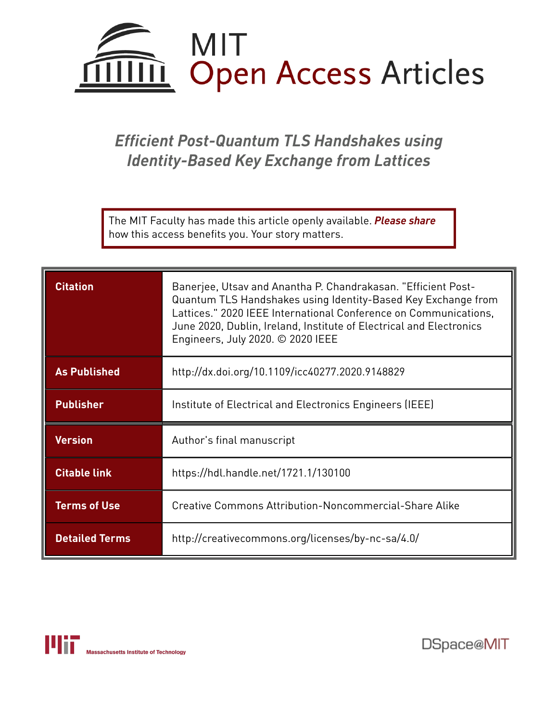

# *Efficient Post-Quantum TLS Handshakes using Identity-Based Key Exchange from Lattices*

The MIT Faculty has made this article openly available. *[Please](https://libraries.mit.edu/forms/dspace-oa-articles.html) share* how this access benefits you. Your story matters.

| <b>Citation</b>       | Banerjee, Utsav and Anantha P. Chandrakasan. "Efficient Post-<br>Quantum TLS Handshakes using Identity-Based Key Exchange from<br>Lattices." 2020 IEEE International Conference on Communications,<br>June 2020, Dublin, Ireland, Institute of Electrical and Electronics<br>Engineers, July 2020. © 2020 IEEE |  |
|-----------------------|----------------------------------------------------------------------------------------------------------------------------------------------------------------------------------------------------------------------------------------------------------------------------------------------------------------|--|
| <b>As Published</b>   | http://dx.doi.org/10.1109/icc40277.2020.9148829                                                                                                                                                                                                                                                                |  |
| <b>Publisher</b>      | Institute of Electrical and Electronics Engineers (IEEE)                                                                                                                                                                                                                                                       |  |
| <b>Version</b>        | Author's final manuscript                                                                                                                                                                                                                                                                                      |  |
| <b>Citable link</b>   | https://hdl.handle.net/1721.1/130100                                                                                                                                                                                                                                                                           |  |
| <b>Terms of Use</b>   | Creative Commons Attribution-Noncommercial-Share Alike                                                                                                                                                                                                                                                         |  |
| <b>Detailed Terms</b> | http://creativecommons.org/licenses/by-nc-sa/4.0/                                                                                                                                                                                                                                                              |  |

DSpace@MIT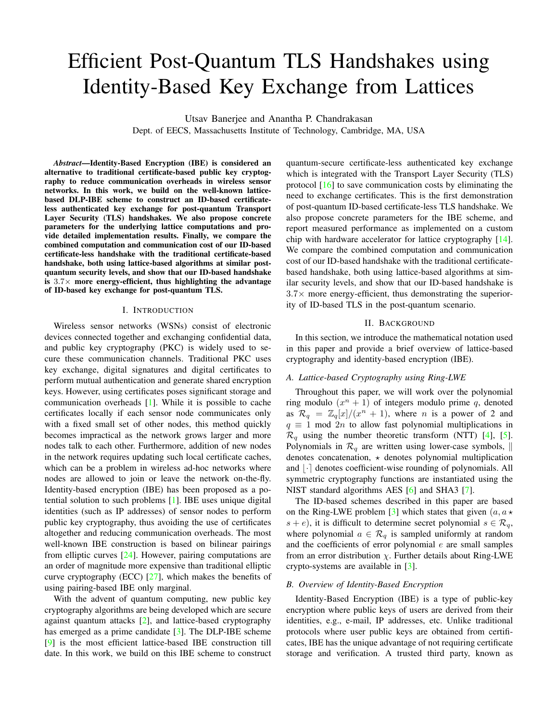# Efficient Post-Quantum TLS Handshakes using Identity-Based Key Exchange from Lattices

Utsav Banerjee and Anantha P. Chandrakasan

Dept. of EECS, Massachusetts Institute of Technology, Cambridge, MA, USA

*Abstract*—Identity-Based Encryption (IBE) is considered an alternative to traditional certificate-based public key cryptography to reduce communication overheads in wireless sensor networks. In this work, we build on the well-known latticebased DLP-IBE scheme to construct an ID-based certificateless authenticated key exchange for post-quantum Transport Layer Security (TLS) handshakes. We also propose concrete parameters for the underlying lattice computations and provide detailed implementation results. Finally, we compare the combined computation and communication cost of our ID-based certificate-less handshake with the traditional certificate-based handshake, both using lattice-based algorithms at similar postquantum security levels, and show that our ID-based handshake is  $3.7\times$  more energy-efficient, thus highlighting the advantage of ID-based key exchange for post-quantum TLS.

### I. INTRODUCTION

Wireless sensor networks (WSNs) consist of electronic devices connected together and exchanging confidential data, and public key cryptography (PKC) is widely used to secure these communication channels. Traditional PKC uses key exchange, digital signatures and digital certificates to perform mutual authentication and generate shared encryption keys. However, using certificates poses significant storage and communication overheads [\[1\]](#page-6-0). While it is possible to cache certificates locally if each sensor node communicates only with a fixed small set of other nodes, this method quickly becomes impractical as the network grows larger and more nodes talk to each other. Furthermore, addition of new nodes in the network requires updating such local certificate caches, which can be a problem in wireless ad-hoc networks where nodes are allowed to join or leave the network on-the-fly. Identity-based encryption (IBE) has been proposed as a potential solution to such problems [\[1\]](#page-6-0). IBE uses unique digital identities (such as IP addresses) of sensor nodes to perform public key cryptography, thus avoiding the use of certificates altogether and reducing communication overheads. The most well-known IBE construction is based on bilinear pairings from elliptic curves [\[24\]](#page-7-0). However, pairing computations are an order of magnitude more expensive than traditional elliptic curve cryptography (ECC)  $[27]$ , which makes the benefits of using pairing-based IBE only marginal.

With the advent of quantum computing, new public key cryptography algorithms are being developed which are secure against quantum attacks [\[2\]](#page-6-1), and lattice-based cryptography has emerged as a prime candidate [\[3\]](#page-6-2). The DLP-IBE scheme [\[9\]](#page-6-3) is the most efficient lattice-based IBE construction till date. In this work, we build on this IBE scheme to construct quantum-secure certificate-less authenticated key exchange which is integrated with the Transport Layer Security (TLS) protocol [\[16\]](#page-6-4) to save communication costs by eliminating the need to exchange certificates. This is the first demonstration of post-quantum ID-based certificate-less TLS handshake. We also propose concrete parameters for the IBE scheme, and report measured performance as implemented on a custom chip with hardware accelerator for lattice cryptography [\[14\]](#page-6-5). We compare the combined computation and communication cost of our ID-based handshake with the traditional certificatebased handshake, both using lattice-based algorithms at similar security levels, and show that our ID-based handshake is  $3.7\times$  more energy-efficient, thus demonstrating the superiority of ID-based TLS in the post-quantum scenario.

# II. BACKGROUND

In this section, we introduce the mathematical notation used in this paper and provide a brief overview of lattice-based cryptography and identity-based encryption (IBE).

# *A. Lattice-based Cryptography using Ring-LWE*

Throughout this paper, we will work over the polynomial ring modulo  $(x^n + 1)$  of integers modulo prime q, denoted as  $\mathcal{R}_q = \mathbb{Z}_q[x]/(x^n + 1)$ , where *n* is a power of 2 and  $q \equiv 1$  mod 2n to allow fast polynomial multiplications in  $\mathcal{R}_q$  using the number theoretic transform (NTT) [\[4\]](#page-6-6), [\[5\]](#page-6-7). Polynomials in  $\mathcal{R}_q$  are written using lower-case symbols,  $\parallel$ denotes concatenation,  $\star$  denotes polynomial multiplication and  $\lvert \cdot \rvert$  denotes coefficient-wise rounding of polynomials. All symmetric cryptography functions are instantiated using the NIST standard algorithms AES [\[6\]](#page-6-8) and SHA3 [\[7\]](#page-6-9).

The ID-based schemes described in this paper are based on the Ring-LWE problem [\[3\]](#page-6-2) which states that given  $(a, a \star)$  $s + e$ ), it is difficult to determine secret polynomial  $s \in \mathcal{R}_q$ , where polynomial  $a \in \mathcal{R}_q$  is sampled uniformly at random and the coefficients of error polynomial  $e$  are small samples from an error distribution  $\chi$ . Further details about Ring-LWE crypto-systems are available in [\[3\]](#page-6-2).

# *B. Overview of Identity-Based Encryption*

Identity-Based Encryption (IBE) is a type of public-key encryption where public keys of users are derived from their identities, e.g., e-mail, IP addresses, etc. Unlike traditional protocols where user public keys are obtained from certificates, IBE has the unique advantage of not requiring certificate storage and verification. A trusted third party, known as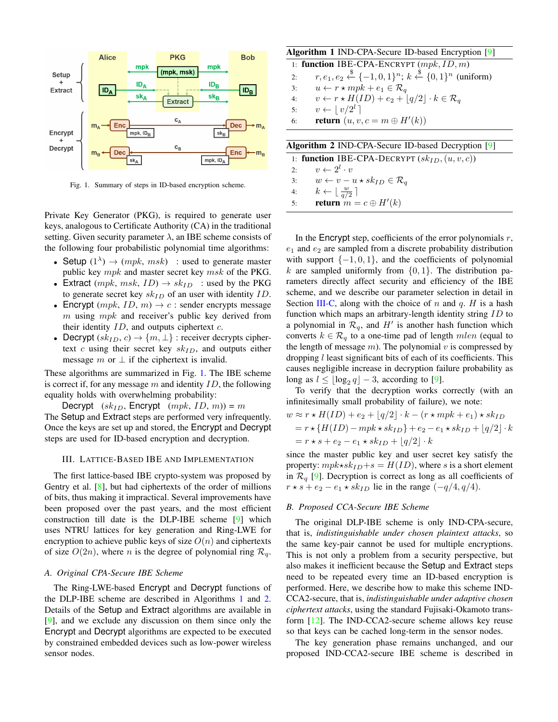

<span id="page-2-0"></span>Fig. 1. Summary of steps in ID-based encryption scheme.

Private Key Generator (PKG), is required to generate user keys, analogous to Certificate Authority (CA) in the traditional setting. Given security parameter  $\lambda$ , an IBE scheme consists of the following four probabilistic polynomial time algorithms:

- Setup  $(1^{\lambda}) \rightarrow (mpk, msk)$  : used to generate master public key  $mpk$  and master secret key  $msk$  of the PKG.
- Extract  $(mpk, msk, ID) \rightarrow sk_{ID}$ : used by the PKG to generate secret key  $sk_{ID}$  of an user with identity  $ID$ .
- Encrypt  $(mpk, ID, m) \rightarrow c$ : sender encrypts message  $m$  using  $mpk$  and receiver's public key derived from their identity  $ID$ , and outputs ciphertext  $c$ .
- Decrypt  $(sk_{ID}, c) \rightarrow \{m, \perp\}$ : receiver decrypts ciphertext c using their secret key  $sk_{ID}$ , and outputs either message  $m$  or  $\perp$  if the ciphertext is invalid.

These algorithms are summarized in Fig. [1.](#page-2-0) The IBE scheme is correct if, for any message  $m$  and identity  $ID$ , the following equality holds with overwhelming probability:

Decrypt  $(sk_{ID},$  Encrypt  $(mpk, ID, m)) = m$ The Setup and Extract steps are performed very infrequently. Once the keys are set up and stored, the Encrypt and Decrypt steps are used for ID-based encryption and decryption.

#### <span id="page-2-4"></span>III. LATTICE-BASED IBE AND IMPLEMENTATION

The first lattice-based IBE crypto-system was proposed by Gentry et al. [\[8\]](#page-6-10), but had ciphertexts of the order of millions of bits, thus making it impractical. Several improvements have been proposed over the past years, and the most efficient construction till date is the DLP-IBE scheme [\[9\]](#page-6-3) which uses NTRU lattices for key generation and Ring-LWE for encryption to achieve public keys of size  $O(n)$  and ciphertexts of size  $O(2n)$ , where n is the degree of polynomial ring  $\mathcal{R}_q$ .

# *A. Original CPA-Secure IBE Scheme*

The Ring-LWE-based Encrypt and Decrypt functions of the DLP-IBE scheme are described in Algorithms [1](#page-2-1) and [2.](#page-2-2) Details of the Setup and Extract algorithms are available in [\[9\]](#page-6-3), and we exclude any discussion on them since only the Encrypt and Decrypt algorithms are expected to be executed by constrained embedded devices such as low-power wireless sensor nodes.

<span id="page-2-1"></span>

| <b>Algorithm 1</b> IND-CPA-Secure ID-based Encryption $[9]$                                   |  |  |
|-----------------------------------------------------------------------------------------------|--|--|
| 1: function IBE-CPA-ENCRYPT $(mpk, ID, m)$                                                    |  |  |
| $r, e_1, e_2 \xleftarrow{\$} \{-1, 0, 1\}^n$ ; $k \xleftarrow{\$} \{0, 1\}^n$ (uniform)<br>2: |  |  |
| $u \leftarrow r \star mpk + e_1 \in \mathcal{R}_q$<br>3:                                      |  |  |
| $v \leftarrow r \star H(ID) + e_2 +  q/2  \cdot k \in \mathcal{R}_q$<br>4:                    |  |  |
| $v \leftarrow  v/2^l $<br>5:                                                                  |  |  |
| <b>return</b> $(u, v, c = m \oplus H'(k))$<br>6:                                              |  |  |
|                                                                                               |  |  |
| <b>Algorithm 2</b> IND-CPA-Secure ID-based Decryption $[9]$                                   |  |  |

<span id="page-2-2"></span>

|    | $\Delta$ experiment $\Delta$ in to - Cr. A - Secure TD-based Deci y public $ \lambda $ |
|----|----------------------------------------------------------------------------------------|
|    | 1: function IBE-CPA-DECRYPT $(kk_{ID}, (u, v, c))$                                     |
|    | 2: $v \leftarrow 2^l \cdot v$                                                          |
|    | 3: $w \leftarrow v - u \star sk_{ID} \in \mathcal{R}_a$                                |
| 4: | $k \leftarrow \lfloor \frac{w}{q/2} \rfloor$                                           |
| 5: | return $m = c \oplus H'(k)$                                                            |
|    |                                                                                        |

In the Encrypt step, coefficients of the error polynomials  $r$ ,  $e_1$  and  $e_2$  are sampled from a discrete probability distribution with support  $\{-1, 0, 1\}$ , and the coefficients of polynomial k are sampled uniformly from  $\{0, 1\}$ . The distribution parameters directly affect security and efficiency of the IBE scheme, and we describe our parameter selection in detail in Section [III-C,](#page-3-0) along with the choice of n and q. H is a hash function which maps an arbitrary-length identity string ID to a polynomial in  $\mathcal{R}_q$ , and  $H'$  is another hash function which converts  $k \in \mathcal{R}_q$  to a one-time pad of length  $mlen$  (equal to the length of message  $m$ ). The polynomial  $v$  is compressed by dropping *l* least significant bits of each of its coefficients. This causes negligible increase in decryption failure probability as long as  $l \leq \lfloor \log_2 q \rfloor - 3$ , according to [\[9\]](#page-6-3).

To verify that the decryption works correctly (with an infinitesimally small probability of failure), we note:

$$
w \approx r * H(ID) + e_2 + \lfloor q/2 \rfloor \cdot k - (r * mpk + e_1) * sk_{ID}
$$
  
=  $r * \{H(ID) - mpk * sk_{ID}\} + e_2 - e_1 * sk_{ID} + \lfloor q/2 \rfloor \cdot k$   
=  $r * s + e_2 - e_1 * sk_{ID} + \lfloor q/2 \rfloor \cdot k$ 

since the master public key and user secret key satisfy the property:  $mpk \star sk_{ID} + s = H(ID)$ , where s is a short element in  $\mathcal{R}_q$  [\[9\]](#page-6-3). Decryption is correct as long as all coefficients of  $r \star s + e_2 - e_1 \star sk_{ID}$  lie in the range  $(-q/4, q/4)$ .

#### <span id="page-2-3"></span>*B. Proposed CCA-Secure IBE Scheme*

The original DLP-IBE scheme is only IND-CPA-secure, that is, *indistinguishable under chosen plaintext attacks*, so the same key-pair cannot be used for multiple encryptions. This is not only a problem from a security perspective, but also makes it inefficient because the Setup and Extract steps need to be repeated every time an ID-based encryption is performed. Here, we describe how to make this scheme IND-CCA2-secure, that is, *indistinguishable under adaptive chosen ciphertext attacks*, using the standard Fujisaki-Okamoto transform [\[12\]](#page-6-11). The IND-CCA2-secure scheme allows key reuse so that keys can be cached long-term in the sensor nodes.

The key generation phase remains unchanged, and our proposed IND-CCA2-secure IBE scheme is described in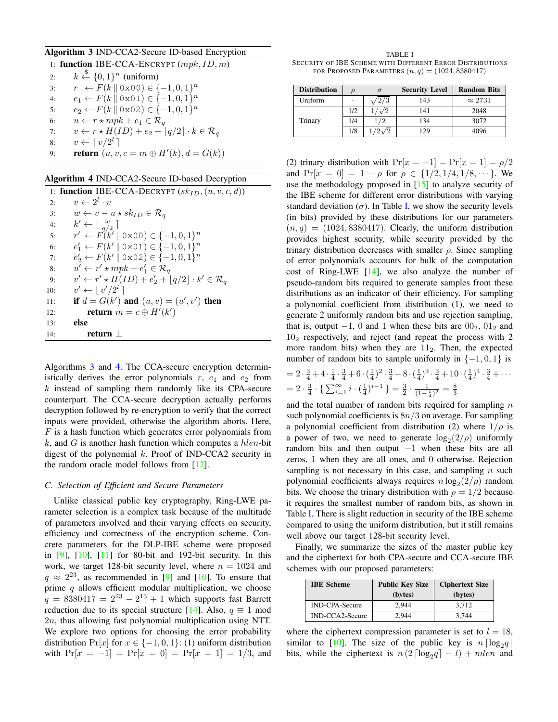# <span id="page-3-1"></span>Algorithm 3 IND-CCA2-Secure ID-based Encryption

|    | 1: function IBE-CCA-ENCRYPT $(mpk, ID, m)$                           |
|----|----------------------------------------------------------------------|
| 2: | $k \stackrel{\$}{\leftarrow} \{0,1\}^n$ (uniform)                    |
| 3: | $r \leftarrow F(k \parallel 0 \times 00) \in \{-1,0,1\}^n$           |
| 4: | $e_1 \leftarrow F(k \mid 0 \times 01) \in \{-1, 0, 1\}^n$            |
| 5: | $e_2 \leftarrow F(k \mid 0 \times 0 \times 2) \in \{-1, 0, 1\}^n$    |
| 6: | $u \leftarrow r \star mpk + e_1 \in \mathcal{R}_q$                   |
| 7: | $v \leftarrow r \star H(ID) + e_2 +  q/2  \cdot k \in \mathcal{R}_q$ |
| 8: | $v \leftarrow  v/2^l $                                               |
| 9: | <b>return</b> $(u, v, c = m \oplus H'(k), d = G(k))$                 |

<span id="page-3-2"></span>

|     | Algorithm 4 IND-CCA2-Secure ID-based Decryption                          |
|-----|--------------------------------------------------------------------------|
|     | 1: function IBE-CCA-DECRYPT $(sk_{ID}, (u, v, c, d))$                    |
| 2:  | $v \leftarrow 2^l \cdot v$                                               |
| 3:  | $w \leftarrow v - u \star sk_{ID} \in \mathcal{R}_a$                     |
| 4:  | $k' \leftarrow \lfloor \frac{w}{a/2} \rfloor$                            |
| 5:  | $r' \leftarrow F(k' \parallel 0 \times 00) \in \{-1, 0, 1\}^n$           |
| 6:  | $e'_1 \leftarrow F(k' \mid \mathbf{0} \times 01) \in \{-1, 0, 1\}^n$     |
| 7:  | $e'_2 \leftarrow F(k' \parallel 0 \times 0 \times 2) \in \{-1, 0, 1\}^n$ |
| 8:  | $u' \leftarrow r' \star mpk + e'_1 \in \mathcal{R}_q$                    |
| 9:  | $v' \leftarrow r' \star H(ID) + e'_2 +  q/2  \cdot k' \in \mathcal{R}_q$ |
| 10: | $v' \leftarrow  v'/2^l $                                                 |
| 11: | if $d = G(k')$ and $(u, v) = (u', v')$ then                              |
| 12: | return $m = c \oplus H'(k')$                                             |

| Algorithms 3 and 4. The CCA-secure encryption determin-         |
|-----------------------------------------------------------------|
| istically derives the error polynomials r, $e_1$ and $e_2$ from |
| $k$ instead of sampling them randomly like its CPA-secure       |
| counterpart. The CCA-secure decryption actually performs        |
| decryption followed by re-encryption to verify that the correct |
| inputs were provided, otherwise the algorithm aborts. Here,     |
| $F$ is a hash function which generates error polynomials from   |
| k, and G is another hash function which computes a hlen-bit     |
| digest of the polynomial $k$ . Proof of IND-CCA2 security in    |
| the random oracle model follows from $[12]$ .                   |

## <span id="page-3-0"></span>*C. Selection of Efficient and Secure Parameters*

13: else

14: **return** ⊥

Unlike classical public key cryptography, Ring-LWE parameter selection is a complex task because of the multitude of parameters involved and their varying effects on security, efficiency and correctness of the encryption scheme. Concrete parameters for the DLP-IBE scheme were proposed in  $[9]$ ,  $[10]$ ,  $[11]$  for 80-bit and 192-bit security. In this work, we target 128-bit security level, where  $n = 1024$  and  $q \approx 2^{23}$ , as recommended in [\[9\]](#page-6-3) and [\[10\]](#page-6-12). To ensure that prime  $q$  allows efficient modular multiplication, we choose  $q = 8380417 = 2^{23} - 2^{13} + 1$  which supports fast Barrett reduction due to its special structure [\[14\]](#page-6-5). Also,  $q \equiv 1$  mod 2n, thus allowing fast polynomial multiplication using NTT. We explore two options for choosing the error probability distribution  $Pr[x]$  for  $x \in \{-1, 0, 1\}$ : (1) uniform distribution with  $Pr[x = -1] = Pr[x = 0] = Pr[x = 1] = 1/3$ , and

<span id="page-3-3"></span>TABLE I SECURITY OF IBE SCHEME WITH DIFFERENT ERROR DISTRIBUTIONS FOR PROPOSED PARAMETERS  $(n, q) = (1024, 8380417)$ 

| <b>Distribution</b> | $\Omega$ | $\sigma$    | <b>Security Level</b> | <b>Random Bits</b> |
|---------------------|----------|-------------|-----------------------|--------------------|
| Uniform             | -        | 2/3         | 143                   | $\approx 2731$     |
|                     | 1/2      | $\sqrt{2}$  | 141                   | 2048               |
| Trinary             | 1/4      | 1/2         | 134                   | 3072               |
|                     | 1/8      | $2\sqrt{2}$ | 129                   | 4096               |

(2) trinary distribution with  $Pr[x = -1] = Pr[x = 1] = \rho/2$ and  $Pr[x = 0] = 1 - \rho$  for  $\rho \in \{1/2, 1/4, 1/8, \dots\}$ . We use the methodology proposed in [\[15\]](#page-6-14) to analyze security of the IBE scheme for different error distributions with varying standard deviation  $(\sigma)$ . In Table [I,](#page-3-3) we show the security levels (in bits) provided by these distributions for our parameters  $(n, q) = (1024, 8380417)$ . Clearly, the uniform distribution provides highest security, while security provided by the trinary distribution decreases with smaller  $\rho$ . Since sampling of error polynomials accounts for bulk of the computation cost of Ring-LWE  $[14]$ , we also analyze the number of pseudo-random bits required to generate samples from these distributions as an indicator of their efficiency. For sampling a polynomial coefficient from distribution (1), we need to generate 2 uniformly random bits and use rejection sampling, that is, output  $-1$ , 0 and 1 when these bits are  $00<sub>2</sub>$ ,  $01<sub>2</sub>$  and  $10<sub>2</sub>$  respectively, and reject (and repeat the process with 2 more random bits) when they are  $11<sub>2</sub>$ . Then, the expected number of random bits to sample uniformly in  $\{-1,0,1\}$  is  $= 2 \cdot \frac{3}{4} + 4 \cdot \frac{1}{4} \cdot \frac{3}{4} + 6 \cdot (\frac{1}{4})^2 \cdot \frac{3}{4} + 8 \cdot (\frac{1}{4})^3 \cdot \frac{3}{4} + 10 \cdot (\frac{1}{4})^4 \cdot \frac{3}{4} + \cdots$  $= 2 \cdot \frac{3}{4} \cdot \left\{ \sum_{i=1}^{\infty} i \cdot \left(\frac{1}{4}\right)^{i-1} \right\} = \frac{3}{2} \cdot \frac{1}{(1-\frac{1}{4})^2} = \frac{8}{3}$ 

and the total number of random bits required for sampling  $n$ such polynomial coefficients is  $8n/3$  on average. For sampling a polynomial coefficient from distribution (2) where  $1/\rho$  is a power of two, we need to generate  $log_2(2/\rho)$  uniformly random bits and then output  $-1$  when these bits are all zeros, 1 when they are all ones, and 0 otherwise. Rejection sampling is not necessary in this case, and sampling  $n$  such polynomial coefficients always requires  $n \log_2(2/\rho)$  random bits. We choose the trinary distribution with  $\rho = 1/2$  because it requires the smallest number of random bits, as shown in Table [I.](#page-3-3) There is slight reduction in security of the IBE scheme compared to using the uniform distribution, but it still remains well above our target 128-bit security level.

Finally, we summarize the sizes of the master public key and the ciphertext for both CPA-secure and CCA-secure IBE schemes with our proposed parameters:

| <b>IBE Scheme</b>      | <b>Public Key Size</b> | <b>Ciphertext Size</b> |  |
|------------------------|------------------------|------------------------|--|
|                        | (bytes)                | (bytes)                |  |
| <b>IND-CPA-Secure</b>  | 2.944                  | 3.712                  |  |
| <b>IND-CCA2-Secure</b> | 2.944                  | 3.744                  |  |

where the ciphertext compression parameter is set to  $l = 18$ , similar to [\[10\]](#page-6-12). The size of the public key is  $n \lceil \log_2 q \rceil$ bits, while the ciphertext is  $n(2 \lceil \log_2 q \rceil - l) + mlen$  and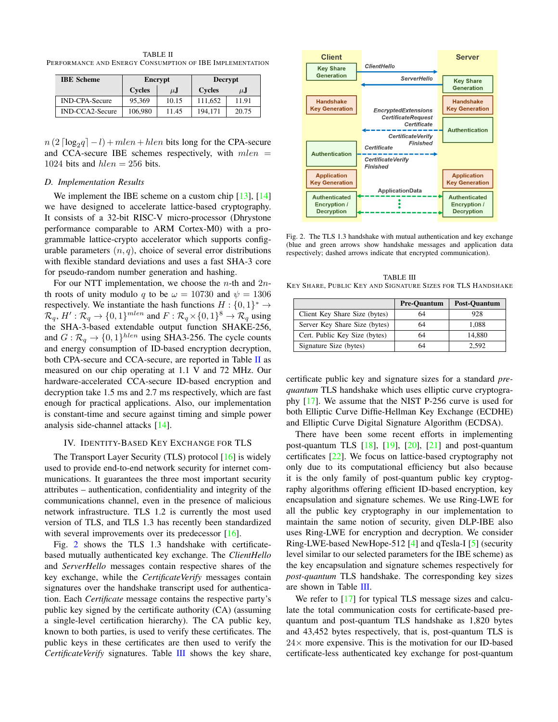<span id="page-4-0"></span>TABLE II PERFORMANCE AND ENERGY CONSUMPTION OF IBE IMPLEMENTATION

| <b>IBE</b> Scheme      | Encrypt       |         | Decrypt       |         |
|------------------------|---------------|---------|---------------|---------|
|                        | <b>Cycles</b> | $\mu$ . | <b>Cycles</b> | $\mu$ J |
| <b>IND-CPA-Secure</b>  | 95.369        | 10.15   | 111.652       | 11.91   |
| <b>IND-CCA2-Secure</b> | 106,980       | 11.45   | 194.171       | 20.75   |

 $n(2 \lceil \log_2 q \rceil - l) + mlen + hlen$  bits long for the CPA-secure and CCA-secure IBE schemes respectively, with  $mlen =$ 1024 bits and  $hlen = 256$  bits.

#### <span id="page-4-3"></span>*D. Implementation Results*

We implement the IBE scheme on a custom chip  $[13]$ ,  $[14]$ we have designed to accelerate lattice-based cryptography. It consists of a 32-bit RISC-V micro-processor (Dhrystone performance comparable to ARM Cortex-M0) with a programmable lattice-crypto accelerator which supports configurable parameters  $(n, q)$ , choice of several error distributions with flexible standard deviations and uses a fast SHA-3 core for pseudo-random number generation and hashing.

For our NTT implementation, we choose the *n*-th and  $2n$ th roots of unity modulo q to be  $\omega = 10730$  and  $\psi = 1306$ respectively. We instantiate the hash functions  $H: \{0,1\}^* \to$  $\mathcal{R}_q$ ,  $H' : \mathcal{R}_q \to \{0, 1\}^{mlen}$  and  $F : \mathcal{R}_q \times \{0, 1\}^8 \to \mathcal{R}_q$  using the SHA-3-based extendable output function SHAKE-256, and  $G: \mathcal{R}_q \to \{0,1\}^{hlen}$  using SHA3-256. The cycle counts and energy consumption of ID-based encryption decryption, both CPA-secure and CCA-secure, are reported in Table [II](#page-4-0) as measured on our chip operating at 1.1 V and 72 MHz. Our hardware-accelerated CCA-secure ID-based encryption and decryption take 1.5 ms and 2.7 ms respectively, which are fast enough for practical applications. Also, our implementation is constant-time and secure against timing and simple power analysis side-channel attacks [\[14\]](#page-6-5).

# IV. IDENTITY-BASED KEY EXCHANGE FOR TLS

The Transport Layer Security (TLS) protocol [\[16\]](#page-6-4) is widely used to provide end-to-end network security for internet communications. It guarantees the three most important security attributes – authentication, confidentiality and integrity of the communications channel, even in the presence of malicious network infrastructure. TLS 1.2 is currently the most used version of TLS, and TLS 1.3 has recently been standardized with several improvements over its predecessor [\[16\]](#page-6-4).

Fig. [2](#page-4-1) shows the TLS 1.3 handshake with certificatebased mutually authenticated key exchange. The *ClientHello* and *ServerHello* messages contain respective shares of the key exchange, while the *CertificateVerify* messages contain signatures over the handshake transcript used for authentication. Each *Certificate* message contains the respective party's public key signed by the certificate authority (CA) (assuming a single-level certification hierarchy). The CA public key, known to both parties, is used to verify these certificates. The public keys in these certificates are then used to verify the *CertificateVerify* signatures. Table [III](#page-4-2) shows the key share,



<span id="page-4-1"></span>Fig. 2. The TLS 1.3 handshake with mutual authentication and key exchange (blue and green arrows show handshake messages and application data respectively; dashed arrows indicate that encrypted communication).

<span id="page-4-2"></span>TABLE III KEY SHARE, PUBLIC KEY AND SIGNATURE SIZES FOR TLS HANDSHAKE

|                               | <b>Pre-Ouantum</b> | <b>Post-Quantum</b> |
|-------------------------------|--------------------|---------------------|
| Client Key Share Size (bytes) | 64                 | 928                 |
| Server Key Share Size (bytes) | 64                 | 1.088               |
| Cert. Public Key Size (bytes) | 64                 | 14,880              |
| Signature Size (bytes)        |                    | 2.592               |

certificate public key and signature sizes for a standard *prequantum* TLS handshake which uses elliptic curve cryptography [\[17\]](#page-6-16). We assume that the NIST P-256 curve is used for both Elliptic Curve Diffie-Hellman Key Exchange (ECDHE) and Elliptic Curve Digital Signature Algorithm (ECDSA).

There have been some recent efforts in implementing post-quantum TLS  $[18]$ ,  $[19]$ ,  $[20]$ ,  $[21]$  and post-quantum certificates [\[22\]](#page-7-4). We focus on lattice-based cryptography not only due to its computational efficiency but also because it is the only family of post-quantum public key cryptography algorithms offering efficient ID-based encryption, key encapsulation and signature schemes. We use Ring-LWE for all the public key cryptography in our implementation to maintain the same notion of security, given DLP-IBE also uses Ring-LWE for encryption and decryption. We consider Ring-LWE-based NewHope-512 [\[4\]](#page-6-6) and qTesla-I [\[5\]](#page-6-7) (security level similar to our selected parameters for the IBE scheme) as the key encapsulation and signature schemes respectively for *post-quantum* TLS handshake. The corresponding key sizes are shown in Table [III.](#page-4-2)

We refer to [\[17\]](#page-6-16) for typical TLS message sizes and calculate the total communication costs for certificate-based prequantum and post-quantum TLS handshake as 1,820 bytes and 43,452 bytes respectively, that is, post-quantum TLS is  $24\times$  more expensive. This is the motivation for our ID-based certificate-less authenticated key exchange for post-quantum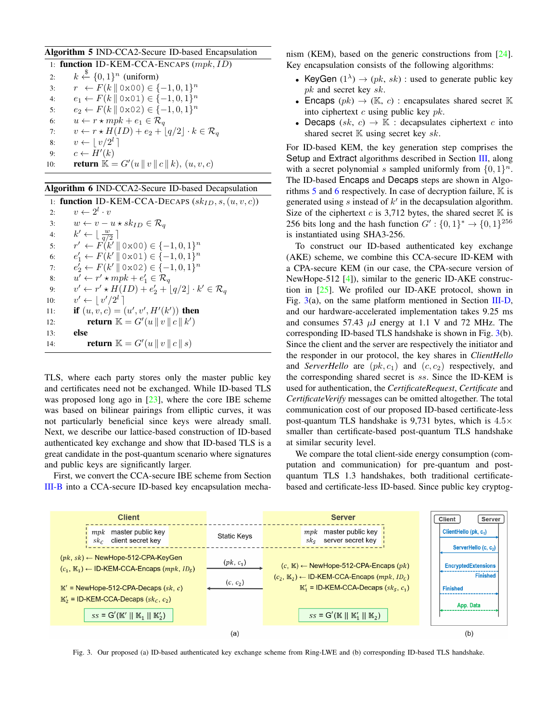# <span id="page-5-0"></span>Algorithm 5 IND-CCA2-Secure ID-based Encapsulation

|     | 1: function ID-KEM-CCA-ENCAPS (mpk, ID)                                            |
|-----|------------------------------------------------------------------------------------|
| 2:  | $k \stackrel{\$}{\leftarrow} \{0,1\}^n$ (uniform)                                  |
| 3:  | $r \leftarrow F(k \mid 0 \times 00) \in \{-1, 0, 1\}^n$                            |
| 4:  | $e_1 \leftarrow F(k \mid 0 \times 01) \in \{-1, 0, 1\}^n$                          |
| 5:  | $e_2 \leftarrow F(k \mid 0 \times 0 \times 2) \in \{-1, 0, 1\}^n$                  |
| 6:  | $u \leftarrow r \star mpk + e_1 \in \mathcal{R}_q$                                 |
| 7:  | $v \leftarrow r \star H(ID) + e_2 + \lfloor q/2 \rfloor \cdot k \in \mathcal{R}_q$ |
| 8:  | $v \leftarrow  v/2^l $                                                             |
| 9:  | $c \leftarrow H'(k)$                                                               |
| 10: | <b>return</b> $\mathbb{K} = G'(u \,    \, v \,    \, c \,    \, k), (u, v, c)$     |

# <span id="page-5-1"></span>Algorithm 6 IND-CCA2-Secure ID-based Decapsulation

|     | 1: function ID-KEM-CCA-DECAPS $(sk_{ID}, s, (u, v, c))$                  |
|-----|--------------------------------------------------------------------------|
| 2:  | $v \leftarrow 2^l \cdot v$                                               |
| 3:  | $w \leftarrow v - u \star sk_{ID} \in \mathcal{R}_a$                     |
| 4:  | $k' \leftarrow \lfloor \frac{w}{a/2} \rfloor$                            |
| 5:  | $r' \leftarrow F(k' \parallel 0 \times 00) \in \{-1, 0, 1\}^n$           |
| 6:  | $e'_1 \leftarrow F(k' \mid \mathbf{0} \times 01) \in \{-1, 0, 1\}^n$     |
| 7:  | $e'_2 \leftarrow F(k' \parallel 0 \times 0 \times 2) \in \{-1, 0, 1\}^n$ |
| 8:  | $u' \leftarrow r' \star mpk + e'_1 \in \mathcal{R}_q$                    |
| 9:  | $v' \leftarrow r' \star H(ID) + e'_2 +  q/2  \cdot k' \in \mathcal{R}_q$ |
| 10: | $v' \leftarrow  v'/2^l $                                                 |
| 11: | if $(u, v, c) = (u', v', H'(k'))$ then                                   |
| 12: | <b>return</b> $\mathbb{K} = G'(u \,    \, v \,    \, c \,    \, k')$     |
| 13: | else                                                                     |
| 14: | <b>return</b> $\mathbb{K} = G'(u \,    \, v \,    \, c \,    \, s)$      |

TLS, where each party stores only the master public key and certificates need not be exchanged. While ID-based TLS was proposed long ago in  $[23]$ , where the core IBE scheme was based on bilinear pairings from elliptic curves, it was not particularly beneficial since keys were already small. Next, we describe our lattice-based construction of ID-based authenticated key exchange and show that ID-based TLS is a great candidate in the post-quantum scenario where signatures and public keys are significantly larger.

First, we convert the CCA-secure IBE scheme from Section [III-B](#page-2-3) into a CCA-secure ID-based key encapsulation mechanism (KEM), based on the generic constructions from [\[24\]](#page-7-0). Key encapsulation consists of the following algorithms:

- KeyGen  $(1^{\lambda}) \rightarrow (pk, sk)$ : used to generate public key pk and secret key sk.
- Encaps  $(pk) \rightarrow (\mathbb{K}, c)$ : encapsulates shared secret  $\mathbb{K}$ into ciphertext  $c$  using public key  $pk$ .
- Decaps  $(sk, c) \rightarrow \mathbb{K}$ : decapsulates ciphertext c into shared secret  $K$  using secret key sk.

For ID-based KEM, the key generation step comprises the Setup and Extract algorithms described in Section [III,](#page-2-4) along with a secret polynomial s sampled uniformly from  $\{0, 1\}^n$ . The ID-based Encaps and Decaps steps are shown in Algo-rithms [5](#page-5-0) and [6](#page-5-1) respectively. In case of decryption failure,  $\mathbb K$  is generated using  $s$  instead of  $k'$  in the decapsulation algorithm. Size of the ciphertext c is 3,712 bytes, the shared secret  $\mathbb K$  is 256 bits long and the hash function  $G' : \{0, 1\}^* \to \{0, 1\}^{256}$ is instantiated using SHA3-256.

To construct our ID-based authenticated key exchange (AKE) scheme, we combine this CCA-secure ID-KEM with a CPA-secure KEM (in our case, the CPA-secure version of NewHope-512 [\[4\]](#page-6-6)), similar to the generic ID-AKE construction in [\[25\]](#page-7-6). We profiled our ID-AKE protocol, shown in Fig. [3\(](#page-5-2)a), on the same platform mentioned in Section [III-D,](#page-4-3) and our hardware-accelerated implementation takes 9.25 ms and consumes 57.43  $\mu$ J energy at 1.1 V and 72 MHz. The corresponding ID-based TLS handshake is shown in Fig. [3\(](#page-5-2)b). Since the client and the server are respectively the initiator and the responder in our protocol, the key shares in *ClientHello* and *ServerHello* are  $(pk, c_1)$  and  $(c, c_2)$  respectively, and the corresponding shared secret is ss. Since the ID-KEM is used for authentication, the *CertificateRequest*, *Certificate* and *CertificateVerify* messages can be omitted altogether. The total communication cost of our proposed ID-based certificate-less post-quantum TLS handshake is 9,731 bytes, which is  $4.5\times$ smaller than certificate-based post-quantum TLS handshake at similar security level.

We compare the total client-side energy consumption (computation and communication) for pre-quantum and postquantum TLS 1.3 handshakes, both traditional certificatebased and certificate-less ID-based. Since public key cryptog-



<span id="page-5-2"></span>Fig. 3. Our proposed (a) ID-based authenticated key exchange scheme from Ring-LWE and (b) corresponding ID-based TLS handshake.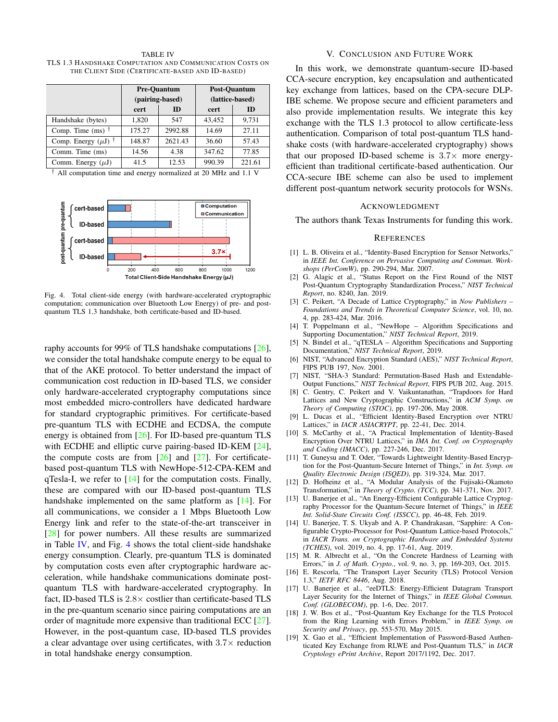<span id="page-6-19"></span>TABLE IV TLS 1.3 HANDSHAKE COMPUTATION AND COMMUNICATION COSTS ON THE CLIENT SIDE (CERTIFICATE-BASED AND ID-BASED)

|                                  | <b>Pre-Ouantum</b><br>(pairing-based) |         | <b>Post-Ouantum</b><br>(lattice-based) |        |
|----------------------------------|---------------------------------------|---------|----------------------------------------|--------|
|                                  | cert                                  | ID      | cert                                   | ID     |
| Handshake (bytes)                | 1.820                                 | 547     | 43,452                                 | 9.731  |
| Comp. Time (ms) $\uparrow$       | 175.27                                | 2992.88 | 14.69                                  | 27.11  |
| Comp. Energy $(\mu J)^{\dagger}$ | 148.87                                | 2621.43 | 36.60                                  | 57.43  |
| Comm. Time (ms)                  | 14.56                                 | 4.38    | 347.62                                 | 77.85  |
| Comm. Energy $(\mu J)$           | 41.5                                  | 12.53   | 990.39                                 | 221.61 |

† All computation time and energy normalized at 20 MHz and 1.1 V



<span id="page-6-20"></span>Fig. 4. Total client-side energy (with hardware-accelerated cryptographic computation; communication over Bluetooth Low Energy) of pre- and postquantum TLS 1.3 handshake, both certificate-based and ID-based.

raphy accounts for 99% of TLS handshake computations [\[26\]](#page-7-7), we consider the total handshake compute energy to be equal to that of the AKE protocol. To better understand the impact of communication cost reduction in ID-based TLS, we consider only hardware-accelerated cryptography computations since most embedded micro-controllers have dedicated hardware for standard cryptographic primitives. For certificate-based pre-quantum TLS with ECDHE and ECDSA, the compute energy is obtained from [\[26\]](#page-7-7). For ID-based pre-quantum TLS with ECDHE and elliptic curve pairing-based ID-KEM [\[24\]](#page-7-0), the compute costs are from  $\lceil 26 \rceil$  and  $\lceil 27 \rceil$ . For certificatebased post-quantum TLS with NewHope-512-CPA-KEM and qTesla-I, we refer to  $[14]$  for the computation costs. Finally, these are compared with our ID-based post-quantum TLS handshake implemented on the same platform as [\[14\]](#page-6-5). For all communications, we consider a 1 Mbps Bluetooth Low Energy link and refer to the state-of-the-art transceiver in [\[28\]](#page-7-8) for power numbers. All these results are summarized in Table [IV,](#page-6-19) and Fig. [4](#page-6-20) shows the total client-side handshake energy consumption. Clearly, pre-quantum TLS is dominated by computation costs even after cryptographic hardware acceleration, while handshake communications dominate postquantum TLS with hardware-accelerated cryptography. In fact, ID-based TLS is  $2.8 \times$  costlier than certificate-based TLS in the pre-quantum scenario since pairing computations are an order of magnitude more expensive than traditional ECC [\[27\]](#page-7-1). However, in the post-quantum case, ID-based TLS provides a clear advantage over using certificates, with  $3.7\times$  reduction in total handshake energy consumption.

# V. CONCLUSION AND FUTURE WORK

In this work, we demonstrate quantum-secure ID-based CCA-secure encryption, key encapsulation and authenticated key exchange from lattices, based on the CPA-secure DLP-IBE scheme. We propose secure and efficient parameters and also provide implementation results. We integrate this key exchange with the TLS 1.3 protocol to allow certificate-less authentication. Comparison of total post-quantum TLS handshake costs (with hardware-accelerated cryptography) shows that our proposed ID-based scheme is  $3.7\times$  more energyefficient than traditional certificate-based authentication. Our CCA-secure IBE scheme can also be used to implement different post-quantum network security protocols for WSNs.

#### ACKNOWLEDGMENT

The authors thank Texas Instruments for funding this work.

#### **REFERENCES**

- <span id="page-6-0"></span>[1] L. B. Oliveira et al., "Identity-Based Encryption for Sensor Networks," in *IEEE Int. Conference on Pervasive Computing and Commun. Workshops (PerComW)*, pp. 290-294, Mar. 2007.
- <span id="page-6-1"></span>[2] G. Alagic et al., "Status Report on the First Round of the NIST Post-Quantum Cryptography Standardization Process," *NIST Technical Report*, no. 8240, Jan. 2019.
- <span id="page-6-2"></span>[3] C. Peikert, "A Decade of Lattice Cryptography," in *Now Publishers – Foundations and Trends in Theoretical Computer Science*, vol. 10, no. 4, pp. 283-424, Mar. 2016.
- <span id="page-6-6"></span>[4] T. Poppelmann et al., "NewHope – Algorithm Specifications and Supporting Documentation," *NIST Technical Report*, 2019.
- <span id="page-6-7"></span>[5] N. Bindel et al., "qTESLA – Algorithm Specifications and Supporting Documentation," *NIST Technical Report*, 2019.
- <span id="page-6-8"></span>[6] NIST, "Advanced Encryption Standard (AES)," *NIST Technical Report*, FIPS PUB 197, Nov. 2001.
- <span id="page-6-9"></span>[7] NIST, "SHA-3 Standard: Permutation-Based Hash and Extendable-Output Functions," *NIST Technical Report*, FIPS PUB 202, Aug. 2015.
- <span id="page-6-10"></span>[8] C. Gentry, C. Peikert and V. Vaikuntanathan, "Trapdoors for Hard Lattices and New Cryptographic Constructions," in *ACM Symp. on Theory of Computing (STOC)*, pp. 197-206, May 2008.
- <span id="page-6-3"></span>[9] L. Ducas et al., "Efficient Identity-Based Encryption over NTRU Lattices," in *IACR ASIACRYPT*, pp. 22-41, Dec. 2014.
- <span id="page-6-12"></span>[10] S. McCarthy et al., "A Practical Implementation of Identity-Based Encryption Over NTRU Lattices," in *IMA Int. Conf. on Cryptography and Coding (IMACC)*, pp. 227-246, Dec. 2017.
- <span id="page-6-13"></span>[11] T. Guneysu and T. Oder, "Towards Lightweight Identity-Based Encryption for the Post-Quantum-Secure Internet of Things," in *Int. Symp. on Quality Electronic Design (ISQED)*, pp. 319-324, Mar. 2017.
- <span id="page-6-11"></span>[12] D. Hofheinz et al., "A Modular Analysis of the Fujisaki-Okamoto Transformation," in *Theory of Crypto. (TCC)*, pp. 341-371, Nov. 2017.
- <span id="page-6-15"></span>[13] U. Banerjee et al., "An Energy-Efficient Configurable Lattice Cryptography Processor for the Quantum-Secure Internet of Things," in *IEEE Int. Solid-State Circuits Conf. (ISSCC)*, pp. 46-48, Feb. 2019.
- <span id="page-6-5"></span>[14] U. Banerjee, T. S. Ukyab and A. P. Chandrakasan, "Sapphire: A Configurable Crypto-Processor for Post-Quantum Lattice-based Protocols," in *IACR Trans. on Cryptographic Hardware and Embedded Systems (TCHES)*, vol. 2019, no. 4, pp. 17-61, Aug. 2019.
- <span id="page-6-14"></span>[15] M. R. Albrecht et al., "On the Concrete Hardness of Learning with Errors," in *J. of Math. Crypto.*, vol. 9, no. 3, pp. 169-203, Oct. 2015.
- <span id="page-6-4"></span>[16] E. Rescorla, "The Transport Layer Security (TLS) Protocol Version 1.3," *IETF RFC 8446*, Aug. 2018.
- <span id="page-6-16"></span>[17] U. Banerjee et al., "eeDTLS: Energy-Efficient Datagram Transport Layer Security for the Internet of Things," in *IEEE Global Commun. Conf. (GLOBECOM)*, pp. 1-6, Dec. 2017.
- <span id="page-6-17"></span>[18] J. W. Bos et al., "Post-Quantum Key Exchange for the TLS Protocol from the Ring Learning with Errors Problem," in *IEEE Symp. on Security and Privacy*, pp. 553-570, May 2015.
- <span id="page-6-18"></span>[19] X. Gao et al., "Efficient Implementation of Password-Based Authenticated Key Exchange from RLWE and Post-Quantum TLS," in *IACR Cryptology ePrint Archive*, Report 2017/1192, Dec. 2017.